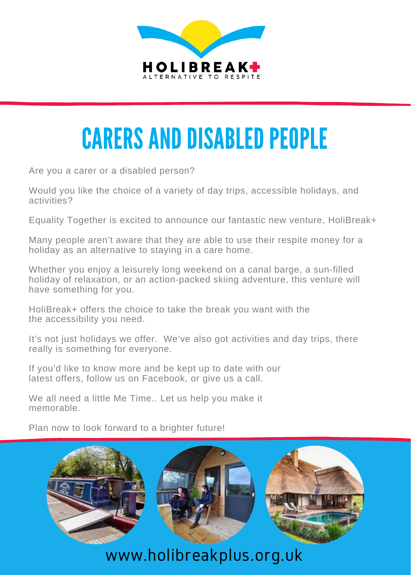

## **CARERS AND DISABLED PEOPLE**

Are you a carer or a disabled person?

Would you like the choice of a variety of day trips, accessible holidays, and activities?

Equality Together is excited to announce our fantastic new venture, HoliBreak+

Many people aren't aware that they are able to use their respite money for a holiday as an alternative to staying in a care home.

Whether you enjoy a leisurely long weekend on a canal barge, a sun-filled holiday of relaxation, or an action-packed skiing adventure, this venture will have something for you.

HoliBreak+ offers the choice to take the break you want with the the accessibility you need.

It's not just holidays we offer. We've also got activities and day trips, there really is something for everyone.

If you'd like to know more and be kept up to date with our latest offers, follow us on Facebook, or give us a call.

We all need a little Me Time.. Let us help you make it memorable.

Plan now to look forward to a brighter future!



www.holibreakplus.org.uk